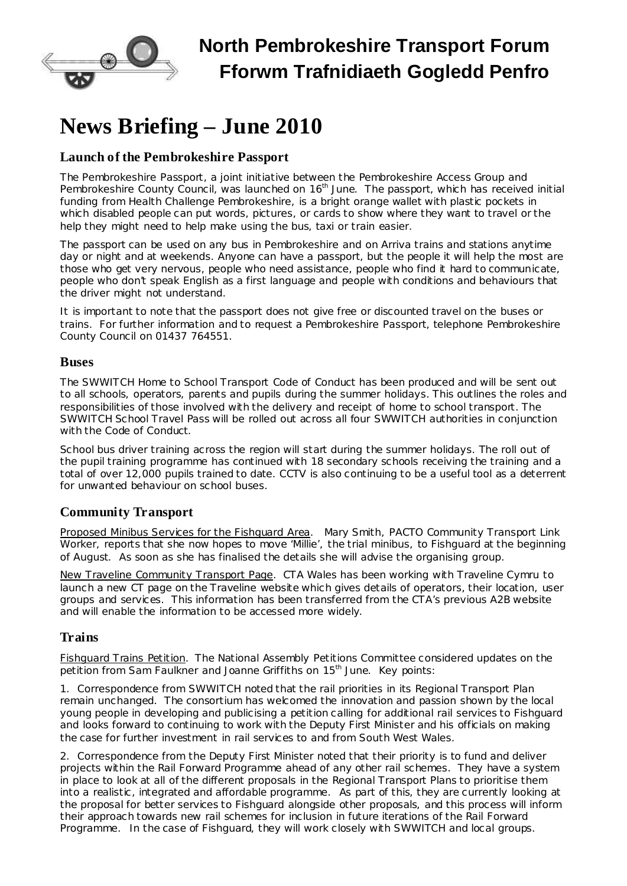

## **North Pembrokeshire Transport Forum Fforwm Trafnidiaeth Gogledd Penfro**

# **News Briefing – June 2010**

### **Launch of the Pembrokeshire Passport**

The Pembrokeshire Passport, a joint initiative between the Pembrokeshire Access Group and Pembrokeshire County Council, was launched on 16<sup>th</sup> June. The passport, which has received initial funding from Health Challenge Pembrokeshire, is a bright orange wallet with plastic pockets in which disabled people can put words, pictures, or cards to show where they want to travel or the help they might need to help make using the bus, taxi or train easier.

The passport can be used on any bus in Pembrokeshire and on Arriva trains and stations anytime day or night and at weekends. Anyone can have a passport, but the people it will help the most are those who get very nervous, people who need assistance, people who find it hard to communicate, people who don't speak English as a first language and people with conditions and behaviours that the driver might not understand.

It is important to note that the passport does not give free or discounted travel on the buses or trains. For further information and to request a Pembrokeshire Passport, telephone Pembrokeshire County Council on 01437 764551.

#### **Buses**

The SWWITCH Home to School Transport Code of Conduct has been produced and will be sent out to all schools, operators, parents and pupils during the summer holidays. This outlines the roles and responsibilities of those involved with the delivery and receipt of home to school transport. The SWWITCH School Travel Pass will be rolled out across all four SWWITCH authorities in conjunction with the Code of Conduct.

School bus driver training across the region will start during the summer holidays. The roll out of the pupil training programme has continued with 18 secondary schools receiving the training and a total of over 12,000 pupils trained to date. CCTV is also continuing to be a useful tool as a deterrent for unwanted behaviour on school buses.

## **Community Transport**

Proposed Minibus Services for the Fishquard Area. Mary Smith, PACTO Community Transport Link Worker, reports that she now hopes to move 'Millie', the trial minibus, to Fishguard at the beginning of August. As soon as she has finalised the details she will advise the organising group.

New Traveline Community Transport Page. CTA Wales has been working with Traveline Cymru to launch a new CT page on the Traveline website which gives details of operators, their location, user groups and services. This information has been transferred from the CTA's previous A2B website and will enable the information to be accessed more widely.

#### **Trains**

Fishguard Trains Petition. The National Assembly Petitions Committee considered updates on the petition from Sam Faulkner and Joanne Griffiths on 15<sup>th</sup> June. Key points:

1. Correspondence from SWWITCH noted that the rail priorities in its Regional Transport Plan remain unchanged. The consortium has welcomed the innovation and passion shown by the local young people in developing and publicising a petition calling for additional rail services to Fishguard and looks forward to continuing to work with the Deputy First Minister and his officials on making the case for further investment in rail services to and from South West Wales.

2. Correspondence from the Deputy First Minister noted that their priority is to fund and deliver projects within the Rail Forward Programme ahead of any other rail schemes. They have a system in place to look at all of the different proposals in the Regional Transport Plans to prioritise them into a realistic, integrated and affordable programme. As part of this, they are currently looking at the proposal for better services to Fishguard alongside other proposals, and this process will inform their approach towards new rail schemes for inclusion in future iterations of the Rail Forward Programme. In the case of Fishguard, they will work closely with SWWITCH and local groups.